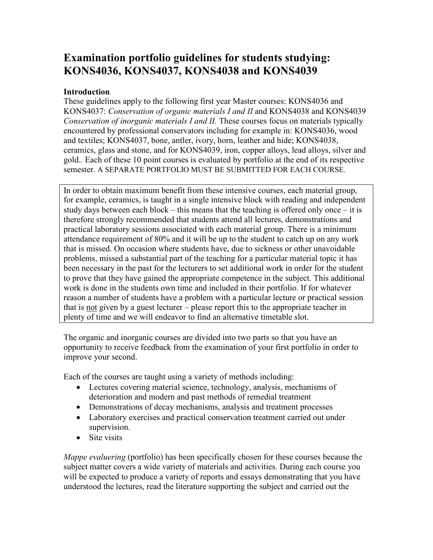# Examination portfolio guidelines for students studying: KONS4036, KONS4037, KONS4038 and KONS4039

## **Introduction**

These guidelines apply to the following first year Master courses: KONS4036 and KONS4037: Conservation of organic materials I and II and KONS4038 and KONS4039 Conservation of inorganic materials I and II. These courses focus on materials typically encountered by professional conservators including for example in: KONS4036, wood and textiles; KONS4037, bone, antler, ivory, horn, leather and hide; KONS4038, ceramics, glass and stone, and for KONS4039, iron, copper alloys, lead alloys, silver and gold.. Each of these 10 point courses is evaluated by portfolio at the end of its respective semester. A SEPARATE PORTFOLIO MUST BE SUBMITTED FOR EACH COURSE.

In order to obtain maximum benefit from these intensive courses, each material group, for example, ceramics, is taught in a single intensive block with reading and independent study days between each block – this means that the teaching is offered only once – it is therefore strongly recommended that students attend all lectures, demonstrations and practical laboratory sessions associated with each material group. There is a minimum attendance requirement of 80% and it will be up to the student to catch up on any work that is missed. On occasion where students have, due to sickness or other unavoidable problems, missed a substantial part of the teaching for a particular material topic it has been necessary in the past for the lecturers to set additional work in order for the student to prove that they have gained the appropriate competence in the subject. This additional work is done in the students own time and included in their portfolio. If for whatever reason a number of students have a problem with a particular lecture or practical session that is not given by a guest lecturer – please report this to the appropriate teacher in plenty of time and we will endeavor to find an alternative timetable slot.

The organic and inorganic courses are divided into two parts so that you have an opportunity to receive feedback from the examination of your first portfolio in order to improve your second.

Each of the courses are taught using a variety of methods including:

- Lectures covering material science, technology, analysis, mechanisms of deterioration and modern and past methods of remedial treatment
- Demonstrations of decay mechanisms, analysis and treatment processes
- Laboratory exercises and practical conservation treatment carried out under supervision.
- Site visits

*Mappe evaluering* (portfolio) has been specifically chosen for these courses because the subject matter covers a wide variety of materials and activities. During each course you will be expected to produce a variety of reports and essays demonstrating that you have understood the lectures, read the literature supporting the subject and carried out the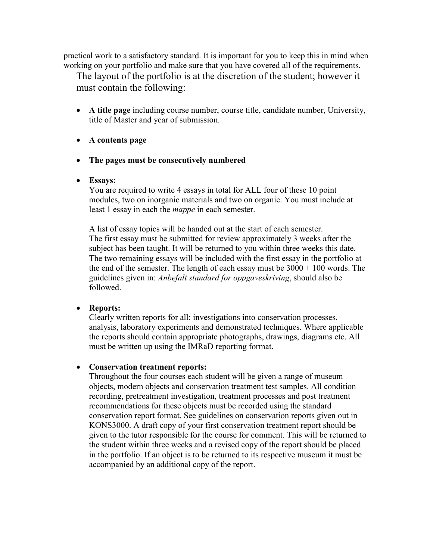practical work to a satisfactory standard. It is important for you to keep this in mind when working on your portfolio and make sure that you have covered all of the requirements.

The layout of the portfolio is at the discretion of the student; however it must contain the following:

- A title page including course number, course title, candidate number, University, title of Master and year of submission.
- A contents page
- The pages must be consecutively numbered
- Essays:

You are required to write 4 essays in total for ALL four of these 10 point modules, two on inorganic materials and two on organic. You must include at least 1 essay in each the mappe in each semester.

A list of essay topics will be handed out at the start of each semester. The first essay must be submitted for review approximately 3 weeks after the subject has been taught. It will be returned to you within three weeks this date. The two remaining essays will be included with the first essay in the portfolio at the end of the semester. The length of each essay must be  $3000 + 100$  words. The guidelines given in: Anbefalt standard for oppgaveskriving, should also be followed.

### • Reports:

Clearly written reports for all: investigations into conservation processes, analysis, laboratory experiments and demonstrated techniques. Where applicable the reports should contain appropriate photographs, drawings, diagrams etc. All must be written up using the IMRaD reporting format.

### • Conservation treatment reports:

Throughout the four courses each student will be given a range of museum objects, modern objects and conservation treatment test samples. All condition recording, pretreatment investigation, treatment processes and post treatment recommendations for these objects must be recorded using the standard conservation report format. See guidelines on conservation reports given out in KONS3000. A draft copy of your first conservation treatment report should be given to the tutor responsible for the course for comment. This will be returned to the student within three weeks and a revised copy of the report should be placed in the portfolio. If an object is to be returned to its respective museum it must be accompanied by an additional copy of the report.